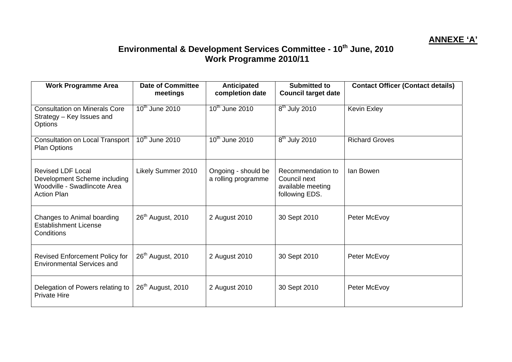## **ANNEXE 'A'**

## **Environmental & Development Services Committee - 10th June, 2010 Work Programme 2010/11**

| <b>Work Programme Area</b>                                                                                     | <b>Date of Committee</b><br>meetings    | <b>Anticipated</b><br>completion date      | <b>Submitted to</b><br><b>Council target date</b>                        | <b>Contact Officer (Contact details)</b> |
|----------------------------------------------------------------------------------------------------------------|-----------------------------------------|--------------------------------------------|--------------------------------------------------------------------------|------------------------------------------|
| <b>Consultation on Minerals Core</b><br>Strategy - Key Issues and<br>Options                                   | $10th$ June 2010                        | $10th$ June 2010                           | $8th$ July 2010                                                          | <b>Kevin Exley</b>                       |
| <b>Consultation on Local Transport</b><br><b>Plan Options</b>                                                  | $\overline{10}$ <sup>th</sup> June 2010 | 10 <sup>th</sup> June 2010                 | $\overline{8^{th}}$ July 2010                                            | <b>Richard Groves</b>                    |
| <b>Revised LDF Local</b><br>Development Scheme including<br>Woodville - Swadlincote Area<br><b>Action Plan</b> | Likely Summer 2010                      | Ongoing - should be<br>a rolling programme | Recommendation to<br>Council next<br>available meeting<br>following EDS. | lan Bowen                                |
| Changes to Animal boarding<br><b>Establishment License</b><br>Conditions                                       | 26 <sup>th</sup> August, 2010           | 2 August 2010                              | 30 Sept 2010                                                             | Peter McEvoy                             |
| <b>Revised Enforcement Policy for</b><br><b>Environmental Services and</b>                                     | 26 <sup>th</sup> August, 2010           | 2 August 2010                              | 30 Sept 2010                                                             | Peter McEvoy                             |
| Delegation of Powers relating to<br><b>Private Hire</b>                                                        | 26 <sup>th</sup> August, 2010           | 2 August 2010                              | 30 Sept 2010                                                             | Peter McEvoy                             |